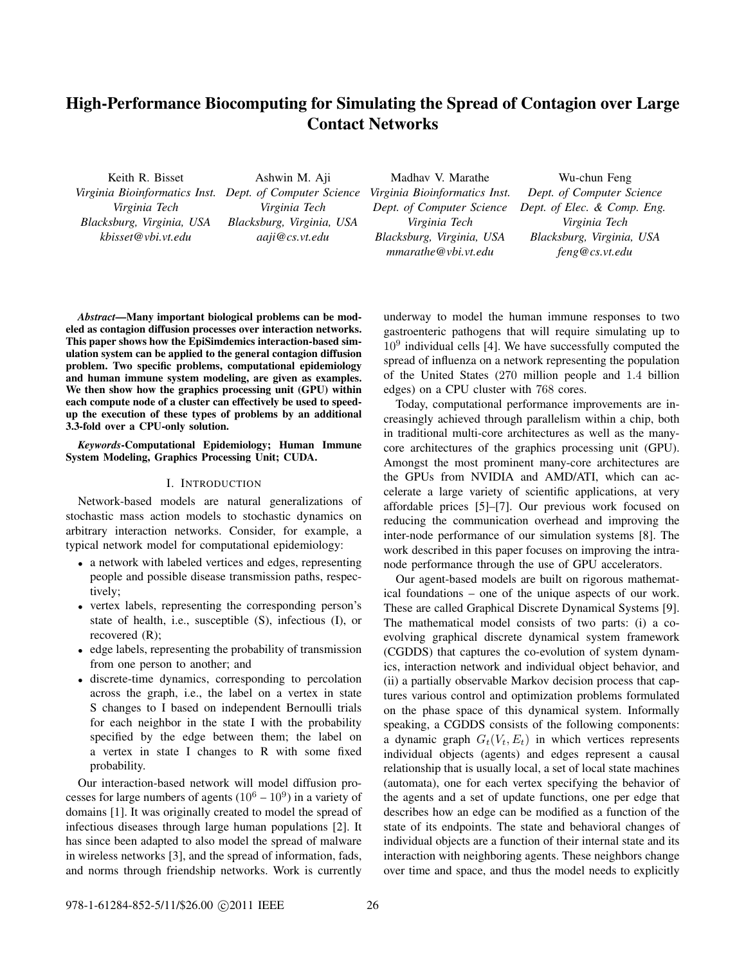# **High-Performance Biocomputing for Simulating the Spread of Contagion over Large Contact Networks**

Keith R. Bisset *Virginia Bioinformatics Inst. Dept. of Computer Science Virginia Tech Blacksburg, Virginia, USA kbisset@vbi.vt.edu*

Ashwin M. Aji *Virginia Tech Blacksburg, Virginia, USA aaji@cs.vt.edu*

Madhav V. Marathe *Virginia Bioinformatics Inst. Dept. of Computer Science Virginia Tech Blacksburg, Virginia, USA mmarathe@vbi.vt.edu*

Wu-chun Feng *Dept. of Computer Science Dept. of Elec. & Comp. Eng. Virginia Tech Blacksburg, Virginia, USA feng@cs.vt.edu*

*Abstract***—Many important biological problems can be modeled as contagion diffusion processes over interaction networks. This paper shows how the EpiSimdemics interaction-based simulation system can be applied to the general contagion diffusion problem. Two specific problems, computational epidemiology and human immune system modeling, are given as examples. We then show how the graphics processing unit (GPU) within each compute node of a cluster can effectively be used to speedup the execution of these types of problems by an additional 3.3-fold over a CPU-only solution.**

*Keywords***-Computational Epidemiology; Human Immune System Modeling, Graphics Processing Unit; CUDA.**

### I. INTRODUCTION

Network-based models are natural generalizations of stochastic mass action models to stochastic dynamics on arbitrary interaction networks. Consider, for example, a typical network model for computational epidemiology:

- <sup>∙</sup> a network with labeled vertices and edges, representing people and possible disease transmission paths, respectively;
- <sup>∙</sup> vertex labels, representing the corresponding person's state of health, i.e., susceptible (S), infectious (I), or recovered (R);
- <sup>∙</sup> edge labels, representing the probability of transmission from one person to another; and
- <sup>∙</sup> discrete-time dynamics, corresponding to percolation across the graph, i.e., the label on a vertex in state S changes to I based on independent Bernoulli trials for each neighbor in the state I with the probability specified by the edge between them; the label on a vertex in state I changes to R with some fixed probability.

Our interaction-based network will model diffusion processes for large numbers of agents  $(10^6 – 10^9)$  in a variety of domains [1]. It was originally created to model the spread of infectious diseases through large human populations [2]. It has since been adapted to also model the spread of malware in wireless networks [3], and the spread of information, fads, and norms through friendship networks. Work is currently underway to model the human immune responses to two gastroenteric pathogens that will require simulating up to  $10<sup>9</sup>$  individual cells [4]. We have successfully computed the spread of influenza on a network representing the population of the United States (270 million people and 1.4 billion edges) on a CPU cluster with 768 cores.

Today, computational performance improvements are increasingly achieved through parallelism within a chip, both in traditional multi-core architectures as well as the manycore architectures of the graphics processing unit (GPU). Amongst the most prominent many-core architectures are the GPUs from NVIDIA and AMD/ATI, which can accelerate a large variety of scientific applications, at very affordable prices [5]–[7]. Our previous work focused on reducing the communication overhead and improving the inter-node performance of our simulation systems [8]. The work described in this paper focuses on improving the intranode performance through the use of GPU accelerators.

Our agent-based models are built on rigorous mathematical foundations – one of the unique aspects of our work. These are called Graphical Discrete Dynamical Systems [9]. The mathematical model consists of two parts: (i) a coevolving graphical discrete dynamical system framework (CGDDS) that captures the co-evolution of system dynamics, interaction network and individual object behavior, and (ii) a partially observable Markov decision process that captures various control and optimization problems formulated on the phase space of this dynamical system. Informally speaking, a CGDDS consists of the following components: a dynamic graph  $G_t(V_t, E_t)$  in which vertices represents individual objects (agents) and edges represent a causal relationship that is usually local, a set of local state machines (automata), one for each vertex specifying the behavior of the agents and a set of update functions, one per edge that describes how an edge can be modified as a function of the state of its endpoints. The state and behavioral changes of individual objects are a function of their internal state and its interaction with neighboring agents. These neighbors change over time and space, and thus the model needs to explicitly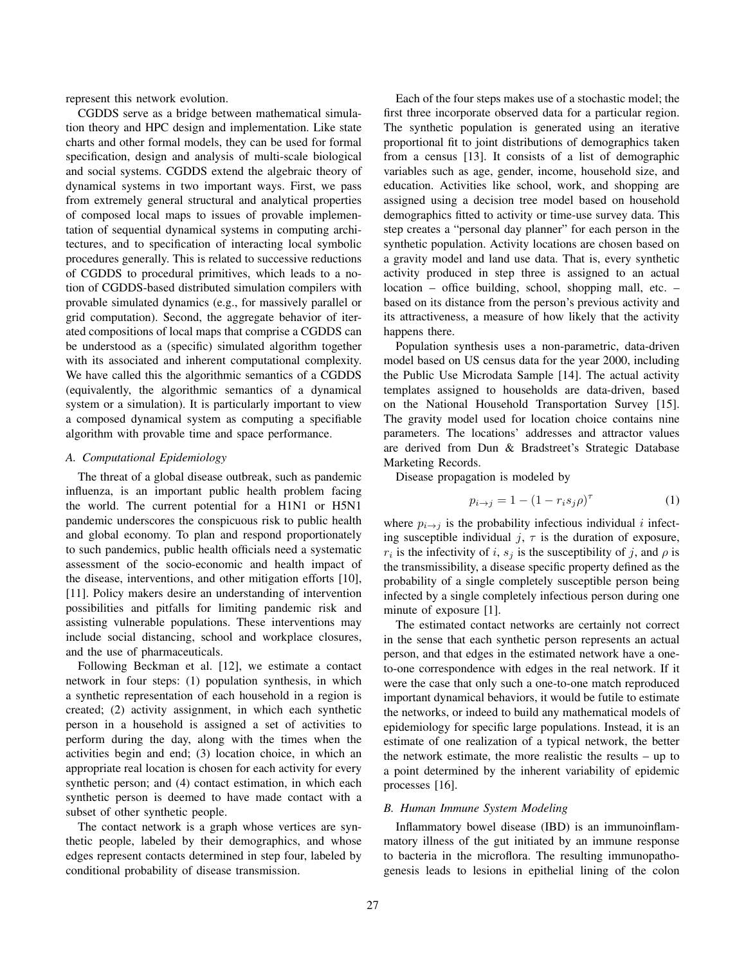represent this network evolution.

CGDDS serve as a bridge between mathematical simulation theory and HPC design and implementation. Like state charts and other formal models, they can be used for formal specification, design and analysis of multi-scale biological and social systems. CGDDS extend the algebraic theory of dynamical systems in two important ways. First, we pass from extremely general structural and analytical properties of composed local maps to issues of provable implementation of sequential dynamical systems in computing architectures, and to specification of interacting local symbolic procedures generally. This is related to successive reductions of CGDDS to procedural primitives, which leads to a notion of CGDDS-based distributed simulation compilers with provable simulated dynamics (e.g., for massively parallel or grid computation). Second, the aggregate behavior of iterated compositions of local maps that comprise a CGDDS can be understood as a (specific) simulated algorithm together with its associated and inherent computational complexity. We have called this the algorithmic semantics of a CGDDS (equivalently, the algorithmic semantics of a dynamical system or a simulation). It is particularly important to view a composed dynamical system as computing a specifiable algorithm with provable time and space performance.

# *A. Computational Epidemiology*

The threat of a global disease outbreak, such as pandemic influenza, is an important public health problem facing the world. The current potential for a H1N1 or H5N1 pandemic underscores the conspicuous risk to public health and global economy. To plan and respond proportionately to such pandemics, public health officials need a systematic assessment of the socio-economic and health impact of the disease, interventions, and other mitigation efforts [10], [11]. Policy makers desire an understanding of intervention possibilities and pitfalls for limiting pandemic risk and assisting vulnerable populations. These interventions may include social distancing, school and workplace closures, and the use of pharmaceuticals.

Following Beckman et al. [12], we estimate a contact network in four steps: (1) population synthesis, in which a synthetic representation of each household in a region is created; (2) activity assignment, in which each synthetic person in a household is assigned a set of activities to perform during the day, along with the times when the activities begin and end; (3) location choice, in which an appropriate real location is chosen for each activity for every synthetic person; and (4) contact estimation, in which each synthetic person is deemed to have made contact with a subset of other synthetic people.

The contact network is a graph whose vertices are synthetic people, labeled by their demographics, and whose edges represent contacts determined in step four, labeled by conditional probability of disease transmission.

Each of the four steps makes use of a stochastic model; the first three incorporate observed data for a particular region. The synthetic population is generated using an iterative proportional fit to joint distributions of demographics taken from a census [13]. It consists of a list of demographic variables such as age, gender, income, household size, and education. Activities like school, work, and shopping are assigned using a decision tree model based on household demographics fitted to activity or time-use survey data. This step creates a "personal day planner" for each person in the synthetic population. Activity locations are chosen based on a gravity model and land use data. That is, every synthetic activity produced in step three is assigned to an actual location – office building, school, shopping mall, etc. – based on its distance from the person's previous activity and its attractiveness, a measure of how likely that the activity happens there.

Population synthesis uses a non-parametric, data-driven model based on US census data for the year 2000, including the Public Use Microdata Sample [14]. The actual activity templates assigned to households are data-driven, based on the National Household Transportation Survey [15]. The gravity model used for location choice contains nine parameters. The locations' addresses and attractor values are derived from Dun & Bradstreet's Strategic Database Marketing Records.

Disease propagation is modeled by

$$
p_{i \to j} = 1 - (1 - r_i s_j \rho)^{\tau}
$$
 (1)

where  $p_{i\rightarrow j}$  is the probability infectious individual *i* infecting susceptible individual  $j, \tau$  is the duration of exposure,  $r_i$  is the infectivity of i,  $s_i$  is the susceptibility of j, and  $\rho$  is the transmissibility, a disease specific property defined as the probability of a single completely susceptible person being infected by a single completely infectious person during one minute of exposure [1].

The estimated contact networks are certainly not correct in the sense that each synthetic person represents an actual person, and that edges in the estimated network have a oneto-one correspondence with edges in the real network. If it were the case that only such a one-to-one match reproduced important dynamical behaviors, it would be futile to estimate the networks, or indeed to build any mathematical models of epidemiology for specific large populations. Instead, it is an estimate of one realization of a typical network, the better the network estimate, the more realistic the results – up to a point determined by the inherent variability of epidemic processes [16].

### *B. Human Immune System Modeling*

Inflammatory bowel disease (IBD) is an immunoinflammatory illness of the gut initiated by an immune response to bacteria in the microflora. The resulting immunopathogenesis leads to lesions in epithelial lining of the colon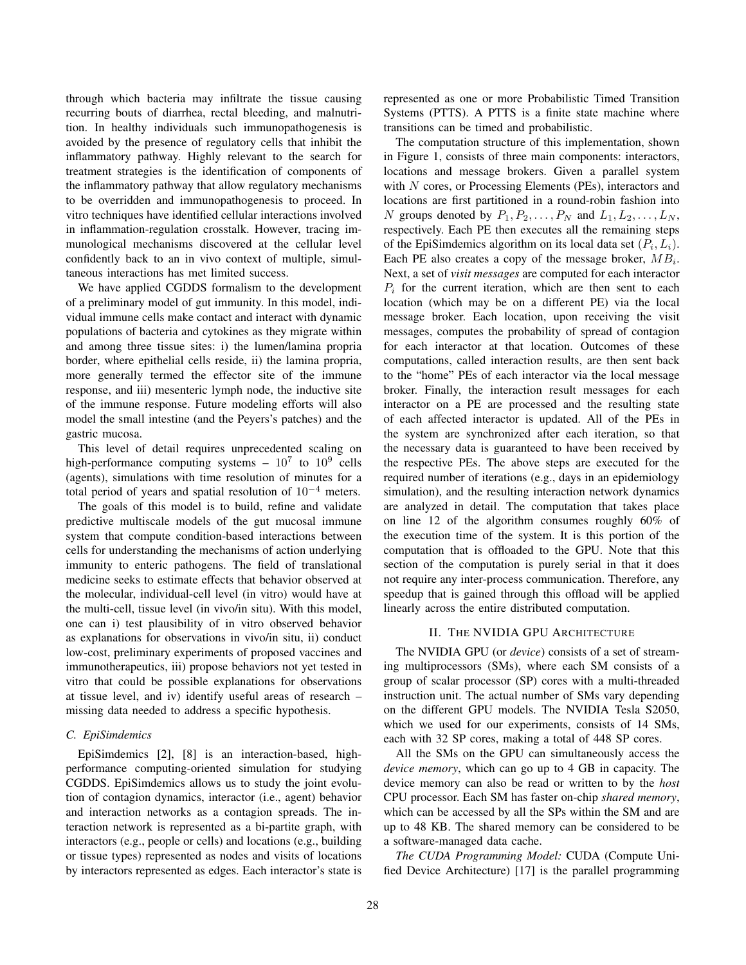through which bacteria may infiltrate the tissue causing recurring bouts of diarrhea, rectal bleeding, and malnutrition. In healthy individuals such immunopathogenesis is avoided by the presence of regulatory cells that inhibit the inflammatory pathway. Highly relevant to the search for treatment strategies is the identification of components of the inflammatory pathway that allow regulatory mechanisms to be overridden and immunopathogenesis to proceed. In vitro techniques have identified cellular interactions involved in inflammation-regulation crosstalk. However, tracing immunological mechanisms discovered at the cellular level confidently back to an in vivo context of multiple, simultaneous interactions has met limited success.

We have applied CGDDS formalism to the development of a preliminary model of gut immunity. In this model, individual immune cells make contact and interact with dynamic populations of bacteria and cytokines as they migrate within and among three tissue sites: i) the lumen/lamina propria border, where epithelial cells reside, ii) the lamina propria, more generally termed the effector site of the immune response, and iii) mesenteric lymph node, the inductive site of the immune response. Future modeling efforts will also model the small intestine (and the Peyers's patches) and the gastric mucosa.

This level of detail requires unprecedented scaling on high-performance computing systems –  $10^7$  to  $10^9$  cells (agents), simulations with time resolution of minutes for a total period of years and spatial resolution of  $10^{-4}$  meters.

The goals of this model is to build, refine and validate predictive multiscale models of the gut mucosal immune system that compute condition-based interactions between cells for understanding the mechanisms of action underlying immunity to enteric pathogens. The field of translational medicine seeks to estimate effects that behavior observed at the molecular, individual-cell level (in vitro) would have at the multi-cell, tissue level (in vivo/in situ). With this model, one can i) test plausibility of in vitro observed behavior as explanations for observations in vivo/in situ, ii) conduct low-cost, preliminary experiments of proposed vaccines and immunotherapeutics, iii) propose behaviors not yet tested in vitro that could be possible explanations for observations at tissue level, and iv) identify useful areas of research – missing data needed to address a specific hypothesis.

# *C. EpiSimdemics*

EpiSimdemics [2], [8] is an interaction-based, highperformance computing-oriented simulation for studying CGDDS. EpiSimdemics allows us to study the joint evolution of contagion dynamics, interactor (i.e., agent) behavior and interaction networks as a contagion spreads. The interaction network is represented as a bi-partite graph, with interactors (e.g., people or cells) and locations (e.g., building or tissue types) represented as nodes and visits of locations by interactors represented as edges. Each interactor's state is represented as one or more Probabilistic Timed Transition Systems (PTTS). A PTTS is a finite state machine where transitions can be timed and probabilistic.

The computation structure of this implementation, shown in Figure 1, consists of three main components: interactors, locations and message brokers. Given a parallel system with  $N$  cores, or Processing Elements (PEs), interactors and locations are first partitioned in a round-robin fashion into N groups denoted by  $P_1, P_2, \ldots, P_N$  and  $L_1, L_2, \ldots, L_N$ , respectively. Each PE then executes all the remaining steps of the EpiSimdemics algorithm on its local data set  $(P_i, L_i)$ . Each PE also creates a copy of the message broker,  $MB_i$ . Next, a set of *visit messages* are computed for each interactor  $P_i$  for the current iteration, which are then sent to each location (which may be on a different PE) via the local message broker. Each location, upon receiving the visit messages, computes the probability of spread of contagion for each interactor at that location. Outcomes of these computations, called interaction results, are then sent back to the "home" PEs of each interactor via the local message broker. Finally, the interaction result messages for each interactor on a PE are processed and the resulting state of each affected interactor is updated. All of the PEs in the system are synchronized after each iteration, so that the necessary data is guaranteed to have been received by the respective PEs. The above steps are executed for the required number of iterations (e.g., days in an epidemiology simulation), and the resulting interaction network dynamics are analyzed in detail. The computation that takes place on line 12 of the algorithm consumes roughly 60% of the execution time of the system. It is this portion of the computation that is offloaded to the GPU. Note that this section of the computation is purely serial in that it does not require any inter-process communication. Therefore, any speedup that is gained through this offload will be applied linearly across the entire distributed computation.

# II. THE NVIDIA GPU ARCHITECTURE

The NVIDIA GPU (or *device*) consists of a set of streaming multiprocessors (SMs), where each SM consists of a group of scalar processor (SP) cores with a multi-threaded instruction unit. The actual number of SMs vary depending on the different GPU models. The NVIDIA Tesla S2050, which we used for our experiments, consists of 14 SMs, each with 32 SP cores, making a total of 448 SP cores.

All the SMs on the GPU can simultaneously access the *device memory*, which can go up to 4 GB in capacity. The device memory can also be read or written to by the *host* CPU processor. Each SM has faster on-chip *shared memory*, which can be accessed by all the SPs within the SM and are up to 48 KB. The shared memory can be considered to be a software-managed data cache.

*The CUDA Programming Model:* CUDA (Compute Unified Device Architecture) [17] is the parallel programming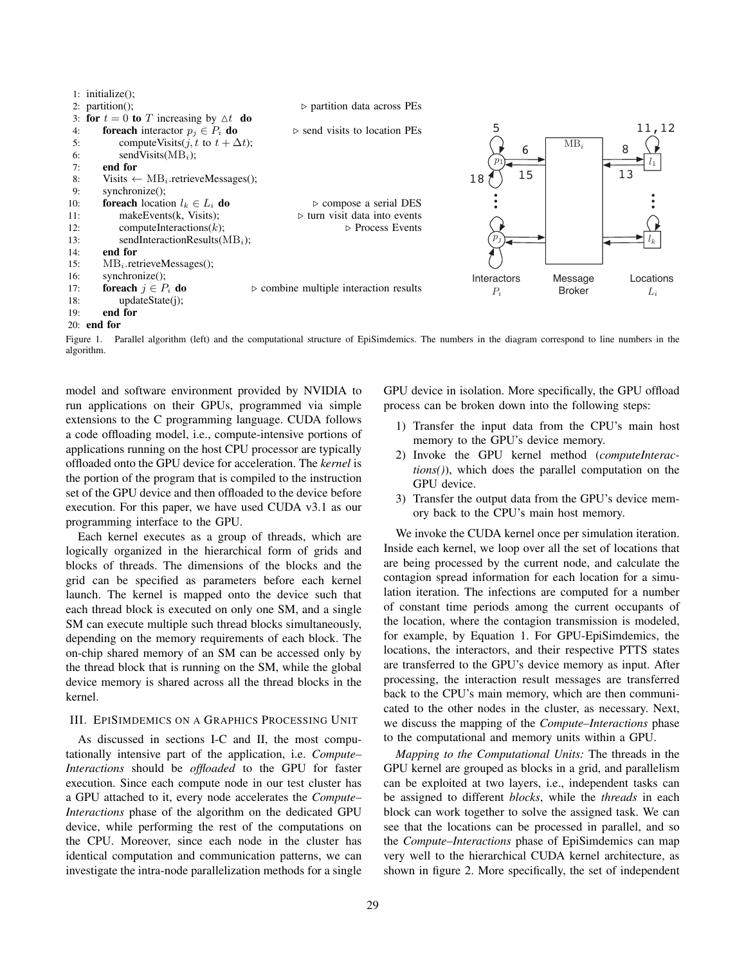|     | $\Gamma$ : initialize( $\Gamma$ )                        |                                                       |             |               |           |
|-----|----------------------------------------------------------|-------------------------------------------------------|-------------|---------------|-----------|
|     | $2:$ partition();                                        | $\triangleright$ partition data across PEs            |             |               |           |
|     | 3: for $t = 0$ to T increasing by $\Delta t$ do          |                                                       |             |               |           |
| 4:  | <b>foreach</b> interactor $p_i \in P_i$ <b>do</b>        | $\triangleright$ send visits to location PEs          | 5           |               | 11,12     |
| 5:  | compute Visits( <i>j</i> , <i>t</i> to $t + \Delta t$ ); |                                                       |             | $MB_i$        | 8         |
| 6:  | sendVisits( $MBi$ );                                     |                                                       | 6           |               |           |
| 7:  | end for                                                  |                                                       | $p_1$       |               |           |
| 8:  | Visits $\leftarrow \text{MB}_i$ . retrieveMessages();    |                                                       | 15<br>18    |               | 13        |
| 9:  | synchronic();                                            |                                                       |             |               |           |
| 10: | <b>foreach</b> location $l_k \in L_i$ <b>do</b>          | $\triangleright$ compose a serial DES                 |             |               |           |
| 11: | makeEvents(k, Visits);                                   | $\triangleright$ turn visit data into events          |             |               |           |
| 12: | computeInteractions $(k)$ ;                              | $\triangleright$ Process Events                       |             |               |           |
| 13: | sendInteractionResults( $MBi$ );                         |                                                       | $p_i$       |               |           |
| 14: | end for                                                  |                                                       |             |               |           |
| 15: | $MB_i$ .retrieveMessages();                              |                                                       |             |               |           |
| 16: | $synchronic()$ ;                                         |                                                       | Interactors | Message       | Locations |
| 17: | foreach $j \in P_i$ do                                   | $\triangleright$ combine multiple interaction results | $P_i$       | <b>Broker</b> | $L_i$     |
| 18: | updateState(i);                                          |                                                       |             |               |           |
| 19: | end for                                                  |                                                       |             |               |           |
|     | $201$ end for                                            |                                                       |             |               |           |

Figure 1. Parallel algorithm (left) and the computational structure of EpiSimdemics. The numbers in the diagram correspond to line numbers in the algorithm.

model and software environment provided by NVIDIA to run applications on their GPUs, programmed via simple extensions to the C programming language. CUDA follows a code offloading model, i.e., compute-intensive portions of applications running on the host CPU processor are typically offloaded onto the GPU device for acceleration. The *kernel* is the portion of the program that is compiled to the instruction set of the GPU device and then offloaded to the device before execution. For this paper, we have used CUDA v3.1 as our programming interface to the GPU.

 $1: 1: 1: 1: 0$ 

Each kernel executes as a group of threads, which are logically organized in the hierarchical form of grids and blocks of threads. The dimensions of the blocks and the grid can be specified as parameters before each kernel launch. The kernel is mapped onto the device such that each thread block is executed on only one SM, and a single SM can execute multiple such thread blocks simultaneously, depending on the memory requirements of each block. The on-chip shared memory of an SM can be accessed only by the thread block that is running on the SM, while the global device memory is shared across all the thread blocks in the kernel.

# III. EPISIMDEMICS ON A GRAPHICS PROCESSING UNIT

As discussed in sections I-C and II, the most computationally intensive part of the application, i.e. *Compute– Interactions* should be *offloaded* to the GPU for faster execution. Since each compute node in our test cluster has a GPU attached to it, every node accelerates the *Compute– Interactions* phase of the algorithm on the dedicated GPU device, while performing the rest of the computations on the CPU. Moreover, since each node in the cluster has identical computation and communication patterns, we can investigate the intra-node parallelization methods for a single GPU device in isolation. More specifically, the GPU offload process can be broken down into the following steps:

- 1) Transfer the input data from the CPU's main host memory to the GPU's device memory.
- 2) Invoke the GPU kernel method (*computeInteractions()*), which does the parallel computation on the GPU device.
- 3) Transfer the output data from the GPU's device memory back to the CPU's main host memory.

We invoke the CUDA kernel once per simulation iteration. Inside each kernel, we loop over all the set of locations that are being processed by the current node, and calculate the contagion spread information for each location for a simulation iteration. The infections are computed for a number of constant time periods among the current occupants of the location, where the contagion transmission is modeled, for example, by Equation 1. For GPU-EpiSimdemics, the locations, the interactors, and their respective PTTS states are transferred to the GPU's device memory as input. After processing, the interaction result messages are transferred back to the CPU's main memory, which are then communicated to the other nodes in the cluster, as necessary. Next, we discuss the mapping of the *Compute–Interactions* phase to the computational and memory units within a GPU.

*Mapping to the Computational Units:* The threads in the GPU kernel are grouped as blocks in a grid, and parallelism can be exploited at two layers, i.e., independent tasks can be assigned to different *blocks*, while the *threads* in each block can work together to solve the assigned task. We can see that the locations can be processed in parallel, and so the *Compute–Interactions* phase of EpiSimdemics can map very well to the hierarchical CUDA kernel architecture, as shown in figure 2. More specifically, the set of independent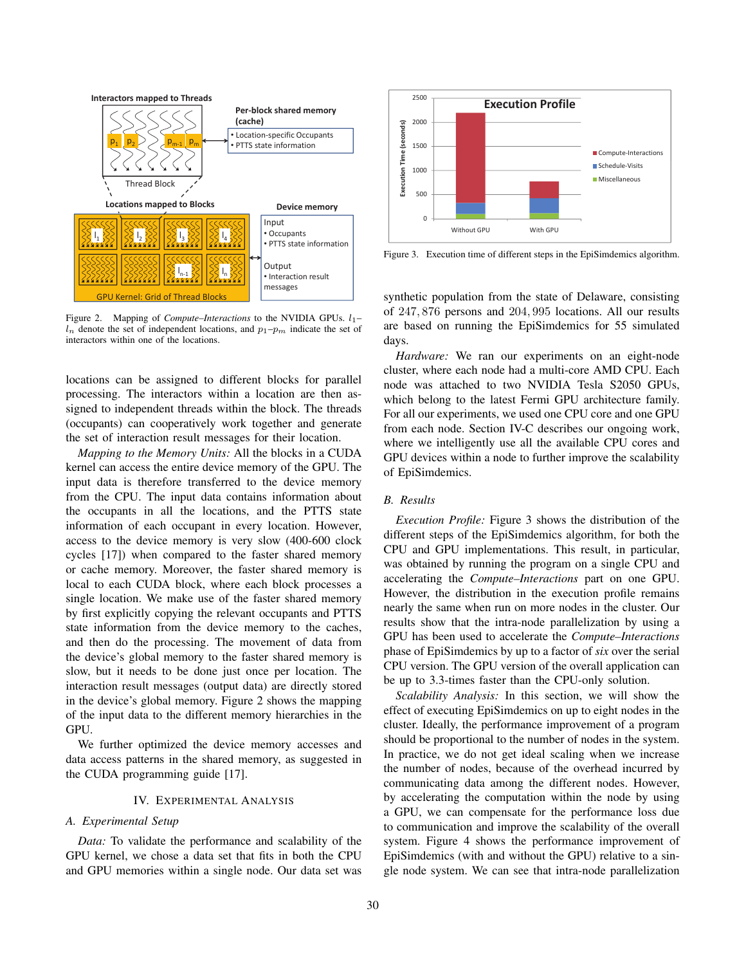

Figure 2. Mapping of *Compute–Interactions* to the NVIDIA GPUs.  $l_1$ –  $\overrightarrow{l_n}$  denote the set of independent locations, and  $p_1-p_m$  indicate the set of interactors within one of the locations.

locations can be assigned to different blocks for parallel processing. The interactors within a location are then assigned to independent threads within the block. The threads (occupants) can cooperatively work together and generate the set of interaction result messages for their location.

*Mapping to the Memory Units:* All the blocks in a CUDA kernel can access the entire device memory of the GPU. The input data is therefore transferred to the device memory from the CPU. The input data contains information about the occupants in all the locations, and the PTTS state information of each occupant in every location. However, access to the device memory is very slow (400-600 clock cycles [17]) when compared to the faster shared memory or cache memory. Moreover, the faster shared memory is local to each CUDA block, where each block processes a single location. We make use of the faster shared memory by first explicitly copying the relevant occupants and PTTS state information from the device memory to the caches, and then do the processing. The movement of data from the device's global memory to the faster shared memory is slow, but it needs to be done just once per location. The interaction result messages (output data) are directly stored in the device's global memory. Figure 2 shows the mapping of the input data to the different memory hierarchies in the GPU.

We further optimized the device memory accesses and data access patterns in the shared memory, as suggested in the CUDA programming guide [17].

#### IV. EXPERIMENTAL ANALYSIS

# *A. Experimental Setup*

*Data:* To validate the performance and scalability of the GPU kernel, we chose a data set that fits in both the CPU and GPU memories within a single node. Our data set was



Figure 3. Execution time of different steps in the EpiSimdemics algorithm.

synthetic population from the state of Delaware, consisting of 247, 876 persons and 204, 995 locations. All our results are based on running the EpiSimdemics for 55 simulated days.

*Hardware:* We ran our experiments on an eight-node cluster, where each node had a multi-core AMD CPU. Each node was attached to two NVIDIA Tesla S2050 GPUs, which belong to the latest Fermi GPU architecture family. For all our experiments, we used one CPU core and one GPU from each node. Section IV-C describes our ongoing work, where we intelligently use all the available CPU cores and GPU devices within a node to further improve the scalability of EpiSimdemics.

# *B. Results*

*Execution Profile:* Figure 3 shows the distribution of the different steps of the EpiSimdemics algorithm, for both the CPU and GPU implementations. This result, in particular, was obtained by running the program on a single CPU and accelerating the *Compute–Interactions* part on one GPU. However, the distribution in the execution profile remains nearly the same when run on more nodes in the cluster. Our results show that the intra-node parallelization by using a GPU has been used to accelerate the *Compute–Interactions* phase of EpiSimdemics by up to a factor of *six* over the serial CPU version. The GPU version of the overall application can be up to 3.3-times faster than the CPU-only solution.

*Scalability Analysis:* In this section, we will show the effect of executing EpiSimdemics on up to eight nodes in the cluster. Ideally, the performance improvement of a program should be proportional to the number of nodes in the system. In practice, we do not get ideal scaling when we increase the number of nodes, because of the overhead incurred by communicating data among the different nodes. However, by accelerating the computation within the node by using a GPU, we can compensate for the performance loss due to communication and improve the scalability of the overall system. Figure 4 shows the performance improvement of EpiSimdemics (with and without the GPU) relative to a single node system. We can see that intra-node parallelization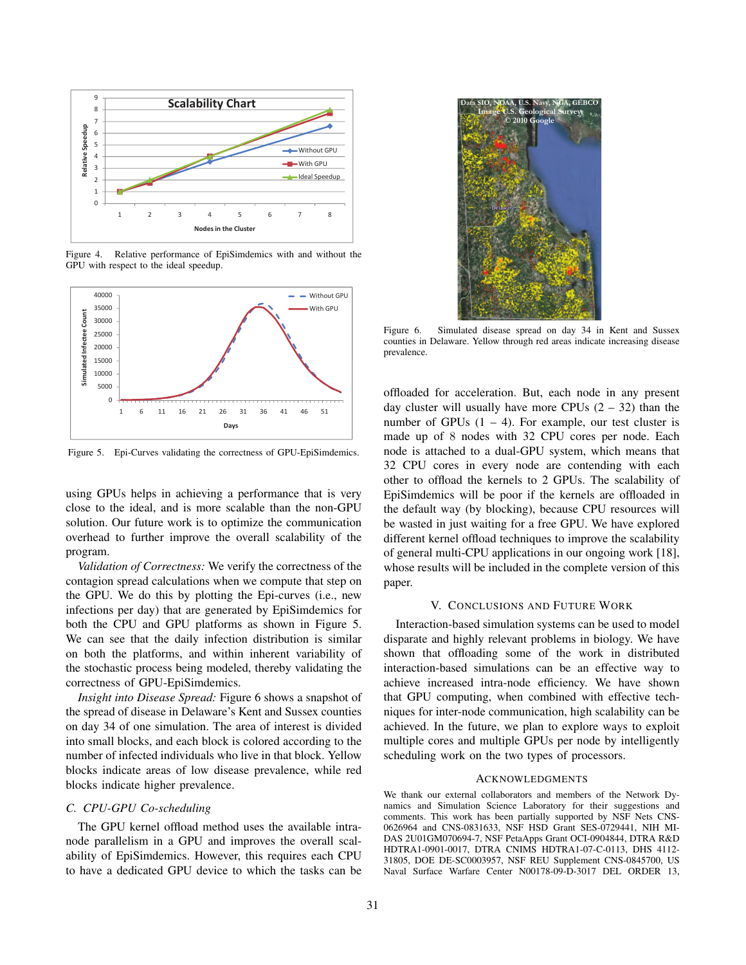

Figure 4. Relative performance of EpiSimdemics with and without the GPU with respect to the ideal speedup.



Figure 5. Epi-Curves validating the correctness of GPU-EpiSimdemics.

using GPUs helps in achieving a performance that is very close to the ideal, and is more scalable than the non-GPU solution. Our future work is to optimize the communication overhead to further improve the overall scalability of the program.

*Validation of Correctness:* We verify the correctness of the contagion spread calculations when we compute that step on the GPU. We do this by plotting the Epi-curves (i.e., new infections per day) that are generated by EpiSimdemics for both the CPU and GPU platforms as shown in Figure 5. We can see that the daily infection distribution is similar on both the platforms, and within inherent variability of the stochastic process being modeled, thereby validating the correctness of GPU-EpiSimdemics.

*Insight into Disease Spread:* Figure 6 shows a snapshot of the spread of disease in Delaware's Kent and Sussex counties on day 34 of one simulation. The area of interest is divided into small blocks, and each block is colored according to the number of infected individuals who live in that block. Yellow blocks indicate areas of low disease prevalence, while red blocks indicate higher prevalence.

# *C. CPU-GPU Co-scheduling*

The GPU kernel offload method uses the available intranode parallelism in a GPU and improves the overall scalability of EpiSimdemics. However, this requires each CPU to have a dedicated GPU device to which the tasks can be



Figure 6. Simulated disease spread on day 34 in Kent and Sussex counties in Delaware. Yellow through red areas indicate increasing disease prevalence.

offloaded for acceleration. But, each node in any present day cluster will usually have more CPUs  $(2 - 32)$  than the number of GPUs  $(1 – 4)$ . For example, our test cluster is made up of 8 nodes with 32 CPU cores per node. Each node is attached to a dual-GPU system, which means that 32 CPU cores in every node are contending with each other to offload the kernels to 2 GPUs. The scalability of EpiSimdemics will be poor if the kernels are offloaded in the default way (by blocking), because CPU resources will be wasted in just waiting for a free GPU. We have explored different kernel offload techniques to improve the scalability of general multi-CPU applications in our ongoing work [18], whose results will be included in the complete version of this paper.

#### V. CONCLUSIONS AND FUTURE WORK

Interaction-based simulation systems can be used to model disparate and highly relevant problems in biology. We have shown that offloading some of the work in distributed interaction-based simulations can be an effective way to achieve increased intra-node efficiency. We have shown that GPU computing, when combined with effective techniques for inter-node communication, high scalability can be achieved. In the future, we plan to explore ways to exploit multiple cores and multiple GPUs per node by intelligently scheduling work on the two types of processors.

#### ACKNOWLEDGMENTS

We thank our external collaborators and members of the Network Dynamics and Simulation Science Laboratory for their suggestions and comments. This work has been partially supported by NSF Nets CNS-0626964 and CNS-0831633, NSF HSD Grant SES-0729441, NIH MI-DAS 2U01GM070694-7, NSF PetaApps Grant OCI-0904844, DTRA R&D HDTRA1-0901-0017, DTRA CNIMS HDTRA1-07-C-0113, DHS 4112- 31805, DOE DE-SC0003957, NSF REU Supplement CNS-0845700, US Naval Surface Warfare Center N00178-09-D-3017 DEL ORDER 13,